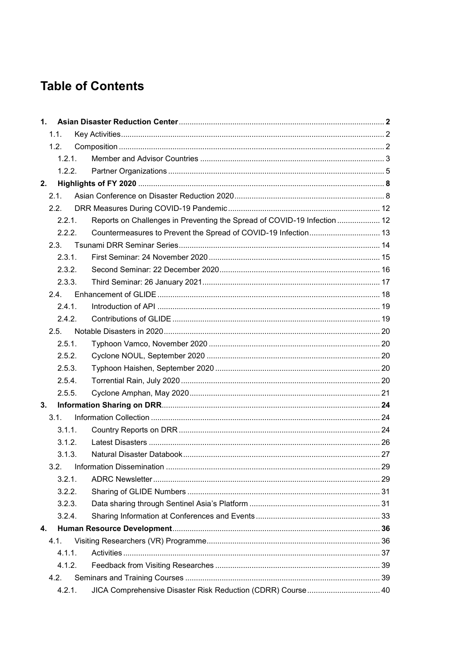## **Table of Contents**

| 1.     |        |                                                                          |  |
|--------|--------|--------------------------------------------------------------------------|--|
|        | 1.1.   |                                                                          |  |
|        | 1.2.   |                                                                          |  |
|        | 1.2.1. |                                                                          |  |
| 1.2.2. |        |                                                                          |  |
| 2.     |        |                                                                          |  |
|        | 2.1.   |                                                                          |  |
|        | 2.2.   |                                                                          |  |
|        | 2.2.1. | Reports on Challenges in Preventing the Spread of COVID-19 Infection  12 |  |
|        | 2.2.2. | Countermeasures to Prevent the Spread of COVID-19 Infection 13           |  |
|        | 2.3.   |                                                                          |  |
|        | 2.3.1. |                                                                          |  |
|        | 2.3.2. |                                                                          |  |
|        | 2.3.3. |                                                                          |  |
|        | 24.    |                                                                          |  |
|        | 2.4.1. |                                                                          |  |
|        | 2.4.2. |                                                                          |  |
|        | 2.5.   |                                                                          |  |
|        | 2.5.1. |                                                                          |  |
|        | 2.5.2. |                                                                          |  |
|        | 2.5.3. |                                                                          |  |
|        | 2.5.4. |                                                                          |  |
|        | 2.5.5. |                                                                          |  |
| 3.     |        |                                                                          |  |
|        | 3.1.   |                                                                          |  |
|        | 3.1.1. |                                                                          |  |
|        | 3.1.2. |                                                                          |  |
|        | 3.1.3. |                                                                          |  |
|        | 3.2.   |                                                                          |  |
|        | 3.2.1. |                                                                          |  |
|        | 3.2.2. |                                                                          |  |
|        | 3.2.3. |                                                                          |  |
|        | 3.2.4. |                                                                          |  |
| 4.     |        |                                                                          |  |
|        | 4.1.   |                                                                          |  |
|        | 4.1.1. |                                                                          |  |
|        | 4.1.2. |                                                                          |  |
|        | 4.2.   |                                                                          |  |
|        | 4.2.1. | JICA Comprehensive Disaster Risk Reduction (CDRR) Course  40             |  |